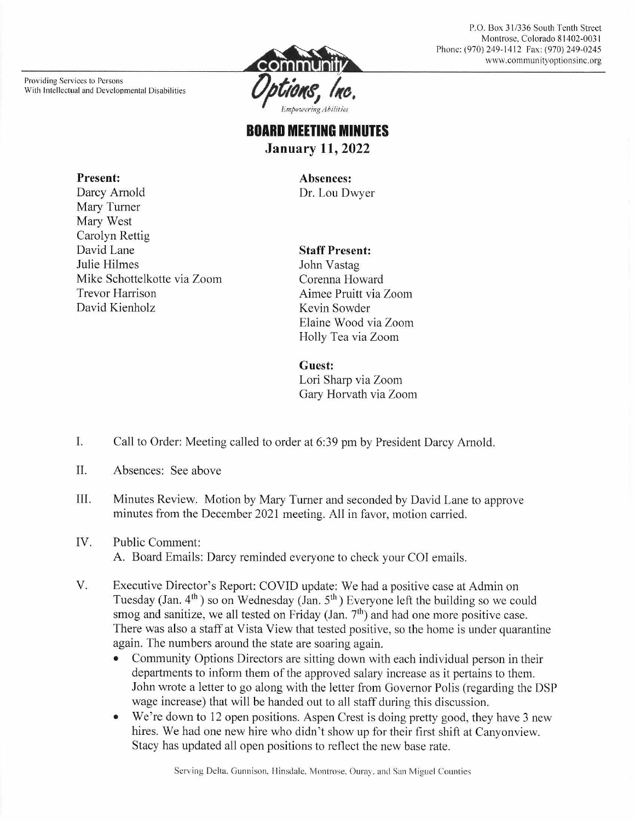Providing Services to Persons With Intellectual and Developmental Disabilities



P.O. Box 31/336 South Tenth Street Montrose, Colorado 8 1402-003 1 Phone: (970) 249-1412 Fax: (970) 249-0245 www.communityoptionsinc.org

# **BOARD MEETING MINUTES January 11, 2022**

**Absences:**  Dr. Lou Dwyer

## **Present:**

Darcy Arnold Mary Turner Mary West Carolyn Rettig David Lane Julie Hilmes Mike Schottelkotte via Zoom Trevor Harrison David Kienholz

**Staff Present:**  John Vastag Corenna Howard Aimee Pruitt via Zoom Kevin Sowder Elaine Wood via Zoom Holly Tea via Zoom

## **Guest:**

Lori Sharp via Zoom Gary Horvath via Zoom

- I. Call to Order: Meeting called to order at 6:39 pm by President Darcy Arnold.
- II. Absences: See above
- III. Minutes Review. Motion by Mary Turner and seconded by David Lane to approve minutes from the December 2021 meeting. All in favor, motion carried.
- IV. Public Comment: A. Board Emails: Darcy reminded everyone to check your COI emails.
- V. Executive Director's Report: COVID update: We had a positive case at Admin on Tuesday (Jan.  $4<sup>th</sup>$ ) so on Wednesday (Jan.  $5<sup>th</sup>$ ) Everyone left the building so we could smog and sanitize, we all tested on Friday (Jan.  $7<sup>th</sup>$ ) and had one more positive case. There was also a staff at Vista View that tested positive, so the home is under quarantine again. The numbers around the state are soaring again.
	- Community Options Directors are sitting down with each individual person in their departments to inform them of the approved salary increase as it pertains to them. John wrote a letter to go along with the letter from Governor Polis (regarding the DSP wage increase) that will be handed out to all staff during this discussion.
	- We're down to 12 open positions. Aspen Crest is doing pretty good, they have 3 new hires. We had one new hire who didn't show up for their first shift at Canyonview. Stacy has updated all open positions to reflect the new base rate.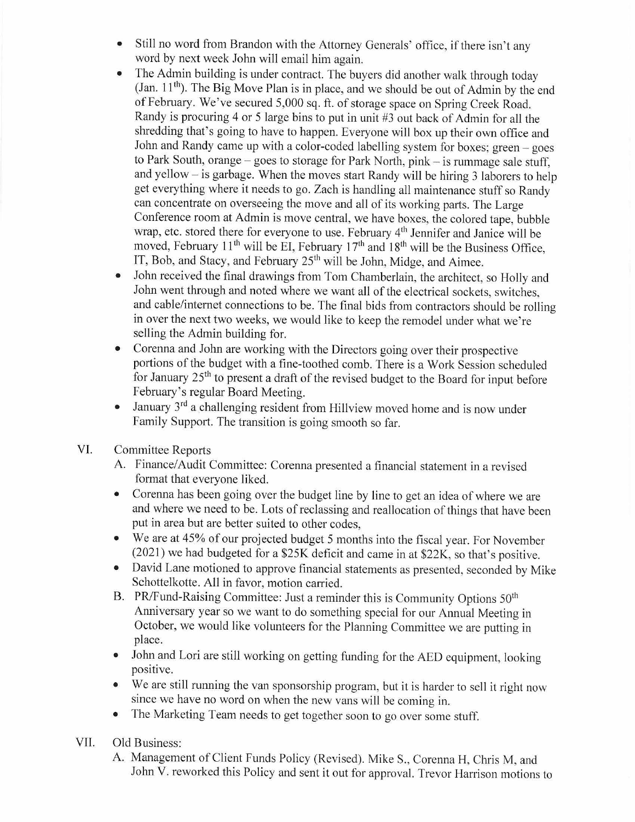- Still no word from Brandon with the Attorney Generals' office, if there isn't any word by next week John will email him again.
- The Admin building is under contract. The buyers did another walk through today (Jan.  $11<sup>th</sup>$ ). The Big Move Plan is in place, and we should be out of Admin by the end of February. We 've secured 5,000 sq. ft. of storage space on Spring Creek Road. Randy is procuring 4 or 5 large bins to put in unit #3 out back of Admin for all the shredding that's going to have to happen. Everyone will box up their own office and John and Randy came up with a color-coded labelling system for boxes; green - goes to Park South, orange  $-$  goes to storage for Park North, pink  $-$  is rummage sale stuff. and yellow - is garbage. When the moves start Randy will be hiring 3 laborers to help get everything where it needs to go. Zach is handling all maintenance stuff so Randy can concentrate on overseeing the move and all of its working parts. The Large Conference room at Admin is move central, we have boxes, the colored tape, bubble wrap, etc. stored there for everyone to use. February 4<sup>th</sup> Jennifer and Janice will be moved, February 11<sup>th</sup> will be EI, February 17<sup>th</sup> and 18<sup>th</sup> will be the Business Office, IT, Bob, and Stacy, and February 25<sup>th</sup> will be John, Midge, and Aimee.
- John received the final drawings from Tom Chamberlain, the architect, so Holly and John went through and noted where we want all of the electrical sockets, switches, and cable/internet connections to be. The final bids from contractors should be rolling in over the next two weeks, we would like to keep the remodel under what we're selling the Admin building for.
- Corenna and John are working with the Directors going over their prospective portions of the budget with a fine-toothed comb. There is a Work Session scheduled for January  $25<sup>th</sup>$  to present a draft of the revised budget to the Board for input before February's regular Board Meeting.
- January 3<sup>rd</sup> a challenging resident from Hillview moved home and is now under Family Support. The transition is going smooth so far.
- VI. Committee Reports
	- A. Finance/ Audit Committee: Corenna presented a financial statement in a revised format that everyone liked.
	- Corenna has been going over the budget line by line to get an idea of where we are and where we need to be. Lots of reclassing and reallocation of things that have been put in area but are better suited to other codes,
	- We are at 45% of our projected budget 5 months into the fiscal year. For November (2021) we had budgeted for a \$25K deficit and came in at \$22K, so that's positive.
	- David Lane motioned to approve financial statements as presented, seconded by Mike Schottelkotte. All in favor, motion carried.
	- B. PR/Fund-Raising Committee: Just a reminder this is Community Options 50<sup>th</sup> Anniversary year so we want to do something special for our Annual Meeting in October, we would like volunteers for the Planning Committee we are putting in place.
	- John and Lori are still working on getting funding for the AED equipment, looking positive.
	- We are still running the van sponsorship program, but it is harder to sell it right now since we have no word on when the new vans will be coming in.
	- The Marketing Team needs to get together soon to go over some stuff.
- VII. Old Business:
	- A. Management of Client Funds Policy (Revised). Mike S., Corenna H, Chris M, and John V. reworked this Policy and sent it out for approval. Trevor Harrison motions to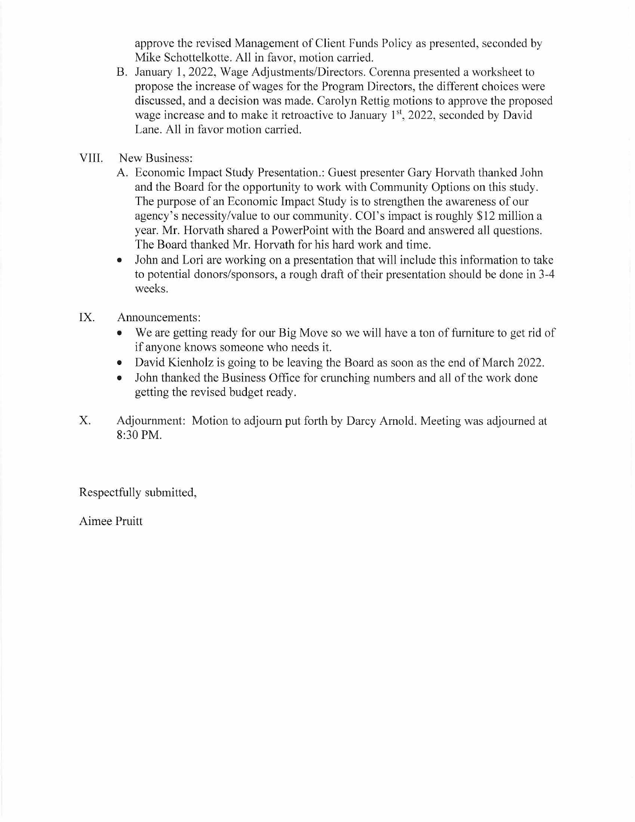approve the revised Management of Client Funds Policy as presented, seconded by Mike Schottelkotte. All in favor, motion carried.

- B. January 1, 2022, Wage Adjustments/Directors. Corenna presented a worksheet to propose the increase of wages for the Program Directors, the different choices were discussed, and a decision was made. Carolyn Rettig motions to approve the proposed wage increase and to make it retroactive to January  $1<sup>st</sup>$ , 2022, seconded by David Lane. All in favor motion carried.
- VIII. New Business:
	- A. Economic Impact Study Presentation.: Guest presenter Gary Horvath thanked John and the Board for the opportunity to work with Community Options on this study. The purpose of an Economic Impact Study is to strengthen the awareness of our agency's necessity/value to our community. COI's impact is roughly \$12 million a year. Mr. Horvath shared a PowerPoint with the Board and answered all questions. The Board thanked Mr. Horvath for his hard work and time.
	- John and Lori are working on a presentation that will include this information to take to potential donors/sponsors, a rough draft of their presentation should be done in 3-4 weeks.
- IX. Announcements:
	- We are getting ready for our Big Move so we will have a ton of furniture to get rid of if anyone knows someone who needs it.
	- David Kienholz is going to be leaving the Board as soon as the end of March 2022.
	- John thanked the Business Office for crunching numbers and all of the work done getting the revised budget ready.
- X. Adjournment: Motion to adjourn put forth by Darcy Arnold. Meeting was adjourned at 8:30 PM.

Respectfully submitted,

Aimee Pruitt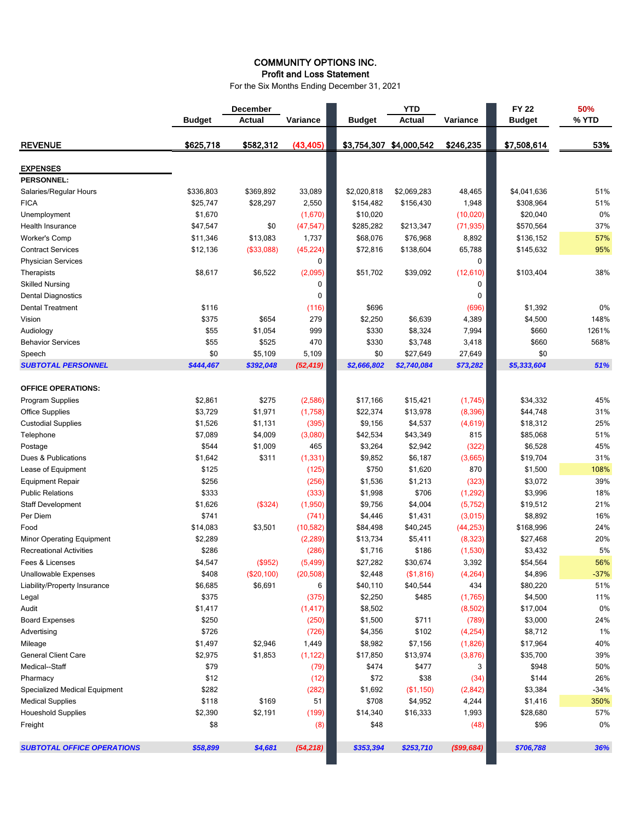#### COMMUNITY OPTIONS INC. Profit and Loss Statement

For the Six Months Ending December 31, 2021

|                                      |               | December   |             |               | <b>YTD</b>    |            | <b>FY 22</b>  | 50%    |
|--------------------------------------|---------------|------------|-------------|---------------|---------------|------------|---------------|--------|
|                                      | <b>Budget</b> | Actual     | Variance    | <b>Budget</b> | <b>Actual</b> | Variance   | <b>Budget</b> | % YTD  |
| <b>REVENUE</b>                       | \$625,718     | \$582,312  | (43, 405)   | \$3,754,307   | \$4,000,542   | \$246,235  | \$7,508,614   | 53%    |
| <b>EXPENSES</b>                      |               |            |             |               |               |            |               |        |
| <b>PERSONNEL:</b>                    |               |            |             |               |               |            |               |        |
| Salaries/Regular Hours               | \$336,803     | \$369,892  | 33,089      | \$2,020,818   | \$2,069,283   | 48,465     | \$4,041,636   | 51%    |
| <b>FICA</b>                          | \$25,747      | \$28,297   | 2,550       | \$154,482     | \$156,430     | 1,948      | \$308,964     | 51%    |
| Unemployment                         | \$1,670       |            | (1,670)     | \$10,020      |               | (10,020)   | \$20,040      | 0%     |
| Health Insurance                     | \$47,547      | \$0        | (47, 547)   | \$285,282     | \$213,347     | (71, 935)  | \$570,564     | 37%    |
| Worker's Comp                        | \$11,346      | \$13,083   | 1,737       | \$68,076      | \$76,968      | 8,892      | \$136,152     | 57%    |
| <b>Contract Services</b>             | \$12,136      | (\$33,088) | (45, 224)   | \$72,816      | \$138,604     | 65,788     | \$145,632     | 95%    |
| <b>Physician Services</b>            |               |            | $\mathbf 0$ |               |               | 0          |               |        |
| Therapists                           | \$8,617       | \$6,522    | (2,095)     | \$51,702      | \$39,092      | (12,610)   | \$103,404     | 38%    |
| <b>Skilled Nursing</b>               |               |            | 0           |               |               | 0          |               |        |
| <b>Dental Diagnostics</b>            |               |            | 0           |               |               | 0          |               |        |
| <b>Dental Treatment</b>              | \$116         |            | (116)       | \$696         |               | (696)      | \$1,392       | 0%     |
| Vision                               | \$375         | \$654      | 279         | \$2,250       | \$6,639       | 4,389      | \$4,500       | 148%   |
| Audiology                            | \$55          | \$1,054    | 999         | \$330         | \$8,324       | 7,994      | \$660         | 1261%  |
| <b>Behavior Services</b>             | \$55          | \$525      | 470         | \$330         | \$3,748       | 3,418      | \$660         | 568%   |
| Speech                               | \$0           | \$5,109    | 5,109       | \$0           | \$27,649      | 27,649     | \$0           |        |
| <b>SUBTOTAL PERSONNEL</b>            | \$444,467     | \$392,048  | (52, 419)   | \$2,666,802   | \$2,740,084   | \$73,282   | \$5,333,604   | 51%    |
| <b>OFFICE OPERATIONS:</b>            |               |            |             |               |               |            |               |        |
| Program Supplies                     | \$2,861       | \$275      | (2,586)     | \$17,166      | \$15,421      | (1,745)    | \$34,332      | 45%    |
| <b>Office Supplies</b>               | \$3,729       | \$1,971    | (1,758)     | \$22,374      | \$13,978      | (8, 396)   | \$44,748      | 31%    |
| <b>Custodial Supplies</b>            | \$1,526       | \$1,131    | (395)       | \$9,156       | \$4,537       | (4,619)    | \$18,312      | 25%    |
| Telephone                            | \$7,089       | \$4,009    | (3,080)     | \$42,534      | \$43,349      | 815        | \$85,068      | 51%    |
| Postage                              | \$544         | \$1,009    | 465         | \$3,264       | \$2,942       | (322)      | \$6,528       | 45%    |
| Dues & Publications                  | \$1,642       | \$311      | (1, 331)    | \$9,852       | \$6,187       | (3,665)    | \$19,704      | 31%    |
| Lease of Equipment                   | \$125         |            | (125)       | \$750         | \$1,620       | 870        | \$1,500       | 108%   |
| <b>Equipment Repair</b>              | \$256         |            | (256)       | \$1,536       | \$1,213       | (323)      | \$3,072       | 39%    |
| <b>Public Relations</b>              | \$333         |            | (333)       | \$1,998       | \$706         | (1, 292)   | \$3,996       | 18%    |
| <b>Staff Development</b>             | \$1,626       | (\$324)    | (1,950)     | \$9,756       | \$4,004       | (5,752)    | \$19,512      | 21%    |
| Per Diem                             | \$741         |            | (741)       | \$4,446       | \$1,431       | (3,015)    | \$8,892       | 16%    |
| Food                                 | \$14,083      | \$3,501    | (10, 582)   | \$84,498      | \$40,245      | (44, 253)  | \$168,996     | 24%    |
| Minor Operating Equipment            | \$2,289       |            | (2, 289)    | \$13,734      | \$5,411       | (8,323)    | \$27,468      | 20%    |
| <b>Recreational Activities</b>       | \$286         |            | (286)       | \$1,716       | \$186         | (1,530)    | \$3,432       | 5%     |
| Fees & Licenses                      | \$4,547       | (\$952)    | (5, 499)    | \$27,282      | \$30,674      | 3,392      | \$54,564      | 56%    |
| Unallowable Expenses                 | \$408         | (\$20,100) | (20, 508)   | \$2,448       | (\$1,816)     | (4,264)    | \$4,896       | $-37%$ |
| Liability/Property Insurance         | \$6,685       | \$6,691    | 6           | \$40,110      | \$40,544      | 434        | \$80,220      | 51%    |
| Legal                                | \$375         |            | (375)       | \$2,250       | \$485         | (1,765)    | \$4,500       | 11%    |
| Audit                                | \$1,417       |            | (1, 417)    | \$8,502       |               | (8,502)    | \$17,004      | 0%     |
| <b>Board Expenses</b>                | \$250         |            | (250)       | \$1,500       | \$711         | (789)      | \$3,000       | 24%    |
| Advertising                          | \$726         |            | (726)       | \$4,356       | \$102         | (4,254)    | \$8,712       | 1%     |
| Mileage                              | \$1,497       | \$2,946    | 1,449       | \$8,982       | \$7,156       | (1,826)    | \$17,964      | 40%    |
| <b>General Client Care</b>           | \$2,975       | \$1,853    | (1, 122)    | \$17,850      | \$13,974      | (3,876)    | \$35,700      | 39%    |
| Medical--Staff                       | \$79          |            | (79)        | \$474         | \$477         | 3          | \$948         | 50%    |
| Pharmacy                             | \$12          |            | (12)        | \$72          | \$38          | (34)       | \$144         | 26%    |
| <b>Specialized Medical Equipment</b> | \$282         |            | (282)       | \$1,692       | (\$1,150)     | (2,842)    | \$3,384       | $-34%$ |
| <b>Medical Supplies</b>              | \$118         | \$169      | 51          | \$708         | \$4,952       | 4,244      | \$1,416       | 350%   |
| <b>Houeshold Supplies</b>            | \$2,390       | \$2,191    | (199)       | \$14,340      | \$16,333      | 1,993      | \$28,680      | 57%    |
| Freight                              | \$8           |            | (8)         | \$48          |               | (48)       | \$96          | 0%     |
|                                      |               |            |             |               |               |            |               |        |
| <b>SUBTOTAL OFFICE OPERATIONS</b>    | \$58,899      | \$4,681    | (54, 218)   | \$353,394     | \$253,710     | (\$99,684) | \$706,788     | 36%    |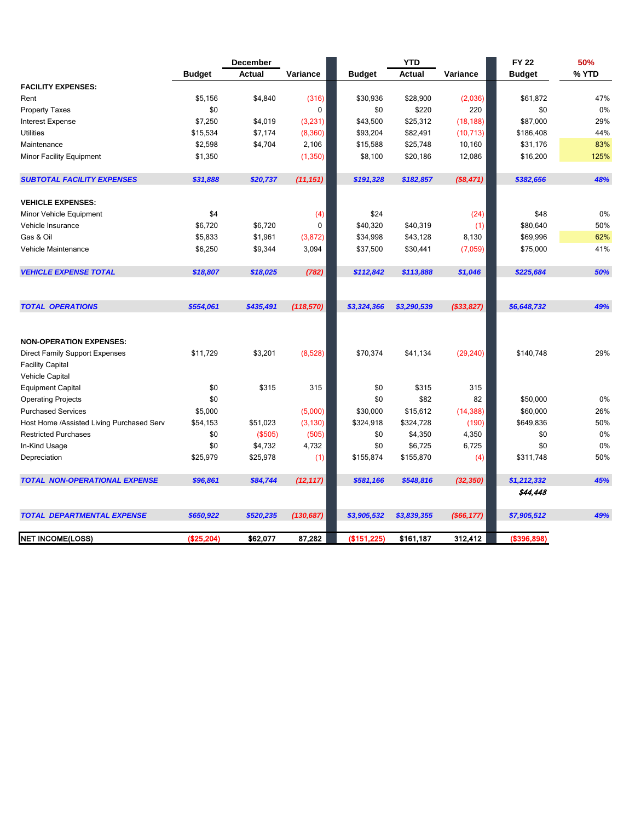|                                                                                            | December      |           | <b>YTD</b> |               |               | <b>FY 22</b>  | 50%           |       |
|--------------------------------------------------------------------------------------------|---------------|-----------|------------|---------------|---------------|---------------|---------------|-------|
|                                                                                            | <b>Budget</b> | Actual    | Variance   | <b>Budget</b> | <b>Actual</b> | Variance      | <b>Budget</b> | % YTD |
| <b>FACILITY EXPENSES:</b>                                                                  |               |           |            |               |               |               |               |       |
| Rent                                                                                       | \$5,156       | \$4,840   | (316)      | \$30,936      | \$28,900      | (2,036)       | \$61,872      | 47%   |
| <b>Property Taxes</b>                                                                      | \$0           |           | 0          | \$0           | \$220         | 220           | \$0           | 0%    |
| <b>Interest Expense</b>                                                                    | \$7,250       | \$4,019   | (3,231)    | \$43,500      | \$25,312      | (18, 188)     | \$87,000      | 29%   |
| <b>Utilities</b>                                                                           | \$15,534      | \$7,174   | (8,360)    | \$93,204      | \$82,491      | (10, 713)     | \$186,408     | 44%   |
| Maintenance                                                                                | \$2,598       | \$4,704   | 2,106      | \$15,588      | \$25,748      | 10,160        | \$31,176      | 83%   |
| <b>Minor Facility Equipment</b>                                                            | \$1,350       |           | (1,350)    | \$8,100       | \$20,186      | 12,086        | \$16,200      | 125%  |
| <b>SUBTOTAL FACILITY EXPENSES</b>                                                          | \$31,888      | \$20,737  | (11, 151)  | \$191,328     | \$182,857     | (\$8,471)     | \$382,656     | 48%   |
| <b>VEHICLE EXPENSES:</b>                                                                   |               |           |            |               |               |               |               |       |
| Minor Vehicle Equipment                                                                    | \$4           |           | (4)        | \$24          |               | (24)          | \$48          | 0%    |
| Vehicle Insurance                                                                          | \$6,720       | \$6,720   | 0          | \$40,320      | \$40,319      | (1)           | \$80,640      | 50%   |
| Gas & Oil                                                                                  | \$5,833       | \$1,961   | (3,872)    | \$34,998      | \$43,128      | 8,130         | \$69,996      | 62%   |
| Vehicle Maintenance                                                                        | \$6,250       | \$9,344   | 3,094      | \$37,500      | \$30,441      | (7,059)       | \$75,000      | 41%   |
| <b>VEHICLE EXPENSE TOTAL</b>                                                               | \$18,807      | \$18,025  | (782)      | \$112,842     | \$113,888     | \$1,046       | \$225,684     | 50%   |
| <b>TOTAL OPERATIONS</b>                                                                    | \$554,061     | \$435,491 | (118, 570) | \$3,324,366   | \$3,290,539   | (\$33,827)    | \$6,648,732   | 49%   |
| <b>NON-OPERATION EXPENSES:</b>                                                             |               |           |            |               |               |               |               |       |
| <b>Direct Family Support Expenses</b><br><b>Facility Capital</b><br><b>Vehicle Capital</b> | \$11,729      | \$3,201   | (8,528)    | \$70,374      | \$41,134      | (29, 240)     | \$140,748     | 29%   |
| <b>Equipment Capital</b>                                                                   | \$0           | \$315     | 315        | \$0           | \$315         | 315           |               |       |
| <b>Operating Projects</b>                                                                  | \$0           |           |            | \$0           | \$82          | 82            | \$50,000      | 0%    |
| <b>Purchased Services</b>                                                                  | \$5,000       |           | (5,000)    | \$30,000      | \$15,612      | (14, 388)     | \$60,000      | 26%   |
| Host Home /Assisted Living Purchased Serv                                                  | \$54,153      | \$51,023  | (3, 130)   | \$324,918     | \$324,728     | (190)         | \$649,836     | 50%   |
| <b>Restricted Purchases</b>                                                                | \$0           | (\$505)   | (505)      | \$0           | \$4,350       | 4,350         | \$0           | 0%    |
| In-Kind Usage                                                                              | \$0           | \$4,732   | 4,732      | \$0           | \$6,725       | 6,725         | \$0           | 0%    |
| Depreciation                                                                               | \$25,979      | \$25,978  | (1)        | \$155,874     | \$155,870     | (4)           | \$311,748     | 50%   |
| <b>TOTAL NON-OPERATIONAL EXPENSE</b>                                                       | \$96,861      | \$84,744  | (12, 117)  | \$581,166     | \$548,816     | (32, 350)     | \$1,212,332   | 45%   |
|                                                                                            |               |           |            |               |               |               | \$44,448      |       |
| <b>TOTAL DEPARTMENTAL EXPENSE</b>                                                          | \$650,922     | \$520,235 | (130, 687) | \$3,905,532   | \$3,839,355   | $($ \$66,177) | \$7,905,512   | 49%   |
| <b>NET INCOME(LOSS)</b>                                                                    | (\$25,204)    | \$62,077  | 87,282     | (\$151,225)   | \$161,187     | 312,412       | (\$396,898)   |       |